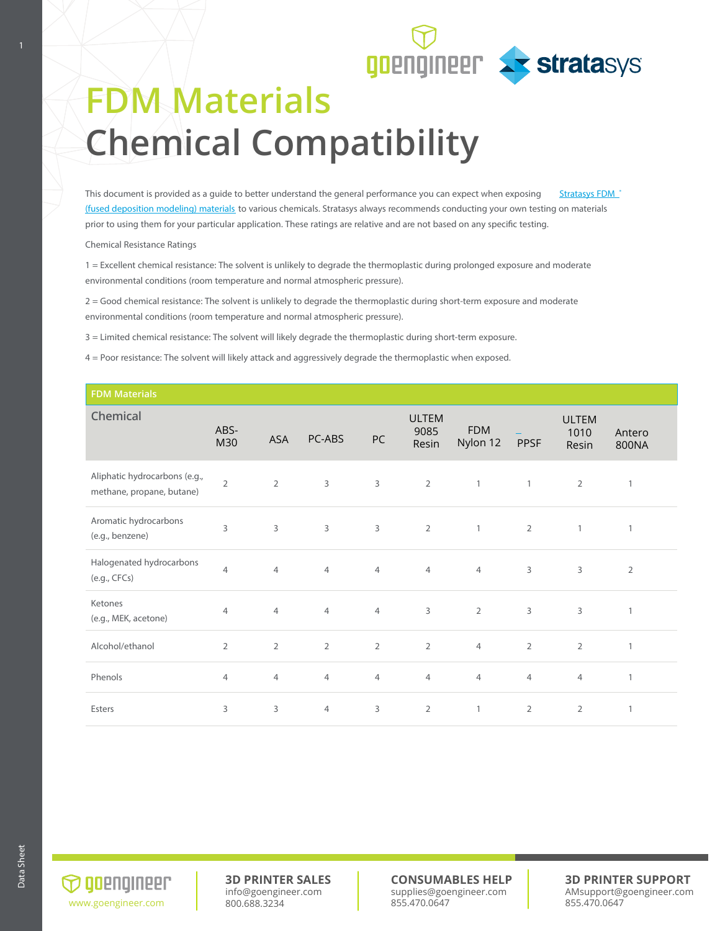

## **FDM Materials Chemical Compatibility**

This document is provided as a guide to better understand the general performance you can expect when exposing Stratasys FDM (fused deposition modeling) materials to various chemicals. Stratasys always recommends conducting your own testing on materials prior to using them for your particular application. These ratings are relative and are not based on any specific testing.

Chemical Resistance Ratings

1 = Excellent chemical resistance: The solvent is unlikely to degrade the thermoplastic during prolonged exposure and moderate environmental conditions (room temperature and normal atmospheric pressure).

2 = Good chemical resistance: The solvent is unlikely to degrade the thermoplastic during short-term exposure and moderate environmental conditions (room temperature and normal atmospheric pressure).

3 = Limited chemical resistance: The solvent will likely degrade the thermoplastic during short-term exposure.

4 = Poor resistance: The solvent will likely attack and aggressively degrade the thermoplastic when exposed.

| <b>FDM Materials</b>                                       |                |                |                |                |                               |                        |                |                               |                 |
|------------------------------------------------------------|----------------|----------------|----------------|----------------|-------------------------------|------------------------|----------------|-------------------------------|-----------------|
| Chemical                                                   | ABS-<br>M30    | <b>ASA</b>     | PC-ABS         | PC             | <b>ULTEM</b><br>9085<br>Resin | <b>FDM</b><br>Nylon 12 | <b>PPSF</b>    | <b>ULTEM</b><br>1010<br>Resin | Antero<br>800NA |
| Aliphatic hydrocarbons (e.g.,<br>methane, propane, butane) | $\overline{2}$ | $\overline{2}$ | 3              | $\mathbf{3}$   | $\overline{2}$                | $\mathbf{1}$           | $\mathbf{1}$   | $\overline{2}$                | $\mathbf{1}$    |
| Aromatic hydrocarbons<br>(e.g., benzene)                   | 3              | 3              | 3              | $\overline{3}$ | $\overline{2}$                | $\mathbf{1}$           | $\overline{2}$ | $\mathbf{1}$                  | 1               |
| Halogenated hydrocarbons<br>(e.g., CFCs)                   | $\overline{4}$ | 4              | 4              | $\overline{4}$ | $\overline{4}$                | $\overline{4}$         | 3              | $\mathsf{3}$                  | $\overline{2}$  |
| Ketones<br>(e.g., MEK, acetone)                            | $\overline{4}$ | $\overline{4}$ | 4              | $\overline{4}$ | 3                             | $\overline{2}$         | 3              | 3                             | $\mathbf{1}$    |
| Alcohol/ethanol                                            | $\overline{2}$ | $\overline{2}$ | $\overline{2}$ | $\overline{2}$ | $\overline{2}$                | $\overline{4}$         | $\overline{2}$ | $\overline{2}$                | $\mathbf{1}$    |
| Phenols                                                    | $\overline{4}$ | $\overline{4}$ | $\overline{4}$ | $\overline{4}$ | $\overline{4}$                | $\overline{4}$         | 4              | $\overline{4}$                | $\mathbf{1}$    |
| Esters                                                     | 3              | 3              | $\overline{4}$ | 3              | $\overline{2}$                | $\mathbf{1}$           | $\overline{2}$ | $\overline{2}$                | 1               |

 $\bigcirc$  goengineer www.goengineer.com

**3D PRINTER SALES** info@goengineer.com 800.688.3234

**CONSUMABLES HELP** supplies@goengineer.com 855.470.0647

**3D PRINTER SUPPORT** AMsupport@goengineer.com 855.470.0647